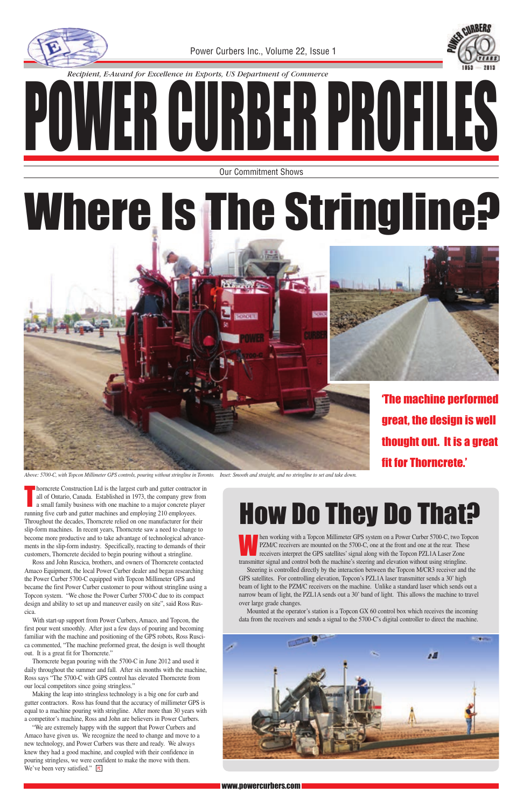#### www.powercurbers.com

Ross and John Ruscica, brothers, and owners of Thorncrete contacted Amaco Equipment, the local Power Curber dealer and began researching the Power Curber 5700-C equipped with Topcon Millimeter GPS and became the first Power Curber customer to pour without stringline using a Topcon system. "We chose the Power Curber 5700-C due to its compact design and ability to set up and maneuver easily on site", said Ross Ruscica. With start-up support from Power Curbers, Amaco, and Topcon, the first pour went smoothly. After just a few days of pouring and becoming familiar with the machine and positioning of the GPS robots, Ross Ruscica commented, "The machine preformed great, the design is well thought out. It is a great fit for Thorncrete." Thorncrete began pouring with the 5700-C in June 2012 and used it daily throughout the summer and fall. After six months with the machine, Ross says "The 5700-C with GPS control has elevated Thorncrete from our local competitors since going stringless." Making the leap into stringless technology is a big one for curb and gutter contractors. Ross has found that the accuracy of millimeter GPS is equal to a machine pouring with stringline. After more than 30 years with a competitor's machine, Ross and John are believers in Power Curbers. "We are extremely happy with the support that Power Curbers and Amaco have given us. We recognize the need to change and move to a new technology, and Power Curbers was there and ready. We always knew they had a good machine, and coupled with their confidence in pouring stringless, we were confident to make the move with them. We've been very satisfied." **PC** 

### How Do They Do That?

T horncrete Construction Ltd is the largest curb and gutter contractor in all of Ontario, Canada. Established in 1973, the company grew from a small family business with one machine to a major concrete player running five curb and gutter machines and employing 210 employees. Throughout the decades, Thorncrete relied on one manufacturer for their slip-form machines. In recent years, Thorncrete saw a need to change to become more productive and to take advantage of technological advancements in the slip-form industry. Specifically, reacting to demands of their customers, Thorncrete decided to begin pouring without a stringline.

Then working with a Topcon Millimeter GPS system on a Power Curber 5700-C, two Topcon PZM/C receivers are mounted on the 5700-C, one at the front and one at the rear. These receivers interpret the GPS satellites' signal al PZM/C receivers are mounted on the 5700-C, one at the front and one at the rear. These receivers interpret the GPS satellites' signal along with the Topcon PZL1A Laser Zone transmitter signal and control both the machine's steering and elevation without using stringline.



Steering is controlled directly by the interaction between the Topcon M/CR3 receiver and the GPS satellites. For controlling elevation, Topcon's PZL1A laser transmitter sends a 30' high beam of light to the PZM/C receivers on the machine. Unlike a standard laser which sends out a narrow beam of light, the PZL1A sends out a 30' band of light. This allows the machine to travel over large grade changes.

Mounted at the operator's station is a Topcon GX 60 control box which receives the incoming data from the receivers and sends a signal to the 5700-C's digital controller to direct the machine.

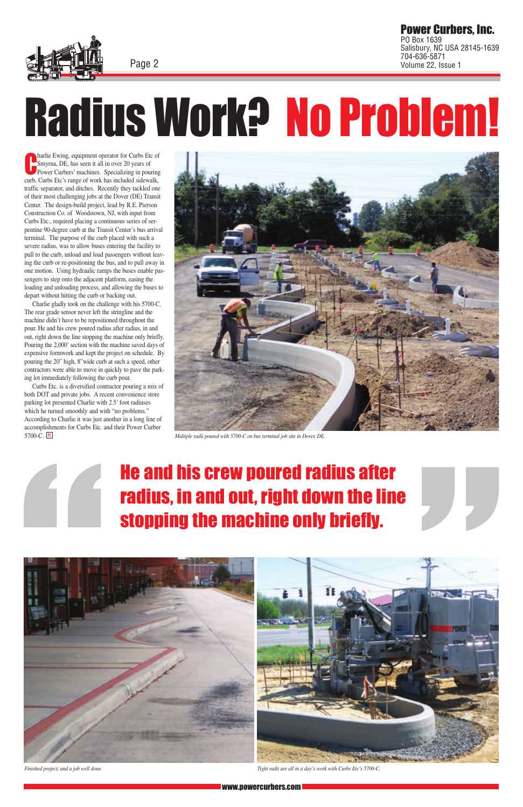

Page 2

www.powercurbers.com

Power Curbers, Inc. PO Box 1639 Salisbury, NC USA 28145-1639 704-636-5871 Page 2 Volume 22, Issue 1

C harlie Ewing, equipment operator for Curbs Etc of Smyrna, DE, has seen it all in over 20 years of Power Curbers' machines. Specializing in pouring curb, Curbs Etc's range of work has included sidewalk, traffic separator, and ditches. Recently they tackled one of their most challenging jobs at the Dover (DE) Transit Center. The design-build project, lead by R.E. Pierson Construction Co. of Woodstown, NJ, with input from Curbs Etc., required placing a continuous series of serpentine 90-degree curb at the Transit Center's bus arrival terminal. The purpose of the curb placed with such a severe radius, was to allow buses entering the facility to pull to the curb, unload and load passengers without leaving the curb or re-positioning the bus, and to pull away in one motion. Using hydraulic ramps the buses enable passengers to step onto the adjacent platform, easing the loading and unloading process, and allowing the buses to depart without hitting the curb or backing out.

Charlie gladly took on the challenge with his 5700-C. The rear grade sensor never left the stringline and the machine didn't have to be repositioned throughout the pour. He and his crew poured radius after radius, in and out, right down the line stopping the machine only briefly. Pouring the 2,000' section with the machine saved days of expensive formwork and kept the project on schedule. By pouring the 20" high, 8"wide curb at such a speed, other contractors were able to move in quickly to pave the parking lot immediately following the curb pour.

Curbs Etc. is a diversified contractor pouring a mix of both DOT and private jobs. A recent convenience store parking lot presented Charlie with 2.5' foot radiuses which he turned smoothly and with "no problems." According to Charlie it was just another in a long line of accomplishments for Curbs Etc. and their Power Curber 5700-C. **PC** 

#### He and his crew poured radius after radius, in and out, right down the line stopping the machine only briefly.





*Multiple radii poured with 5700-C on bus terminal job site in Dover, DE.*

*Finished project, and a job well done. Tight radii are all in a day's work with Curbs Etc's 5700-C.*

## Radius Work? No Problem!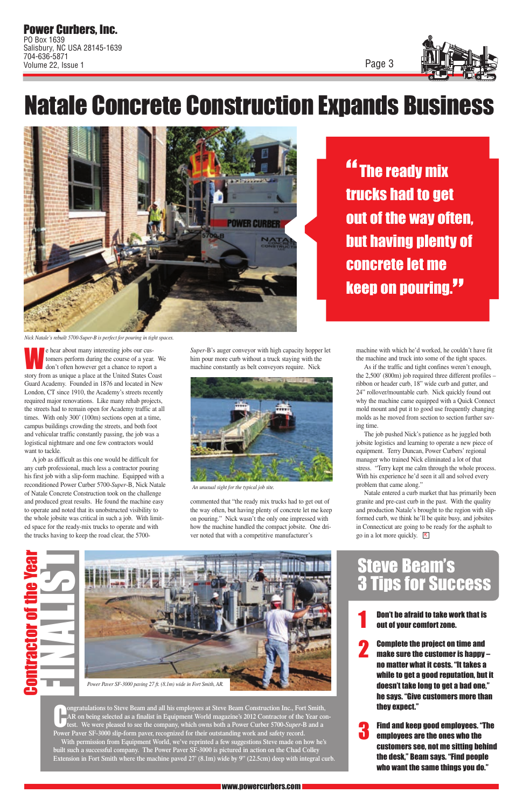

#### Natale Concrete Construction Expands Business



<u>"The ready mix</u> trucks had to get out of the way often, but having plenty of concrete let me **keep on pouring."** 

*Nick Natale's rebuilt 5700-Super-B is perfect for pouring in tight spaces.*

The hear about many interesting jobs our cus-<br>tomers perform during the course of a year.<br>don't often however get a chance to report tomers perform during the course of a year. We don't often however get a chance to report a story from as unique a place at the United States Coast Guard Academy. Founded in 1876 and located in New London, CT since 1910, the Academy's streets recently required major renovations. Like many rehab projects, the streets had to remain open for Academy traffic at all times. With only 300' (100m) sections open at a time, campus buildings crowding the streets, and both foot and vehicular traffic constantly passing, the job was a logistical nightmare and one few contractors would want to tackle.

A job as difficult as this one would be difficult for any curb professional, much less a contractor pouring his first job with a slip-form machine. Equipped with a reconditioned Power Curber 5700-*Super*-B, Nick Natale of Natale Concrete Construction took on the challenge and produced great results. He found the machine easy to operate and noted that its unobstructed visibility to the whole jobsite was critical in such a job. With limited space for the ready-mix trucks to operate and with the trucks having to keep the road clear, the 5700*Super*-B's auger conveyor with high capacity hopper let him pour more curb without a truck staying with the machine constantly as belt conveyors require. Nick

commented that "the ready mix trucks had to get out of the way often, but having plenty of concrete let me keep on pouring." Nick wasn't the only one impressed with how the machine handled the compact jobsite. One driver noted that with a competitive manufacturer's

**Ongratulations to Steve Beam and all his employees at Steve Beam Construction Inc., Fort Smith,**<br>AR on being selected as a finalist in Equipment World magazine's 2012 Contractor of the Year construction.<br>Lett. We were ple **AR on being selected as a finalist in Equipment World magazine's 2012 Contractor of the Year contest. We were pleased to see the company, which owns both a Power Curber 5700-***Super***-B and a Power Paver SF-3000 slip-form paver, recognized for their outstanding work and safety record. With permission from Equipment World, we've reprinted a few suggestions Steve made on how he's built such a successful company. The Power Paver SF-3000 is pictured in action on the Chad Colley Extension in Fort Smith where the machine paved 27' (8.1m) wide by 9" (22.5cm) deep with integral curb.** Don't be afraid to take work that is<br>1 out of your comfort zone.

machine with which he'd worked, he couldn't have fit the machine and truck into some of the tight spaces.

## FINALIST Contractor of the Year

As if the traffic and tight confines weren't enough, the 2,500' (800m) job required three different profiles – ribbon or header curb, 18" wide curb and gutter, and 24" rollover/mountable curb. Nick quickly found out why the machine came equipped with a Quick Connect mold mount and put it to good use frequently changing molds as he moved from section to section further saving time.

The job pushed Nick's patience as he juggled both jobsite logistics and learning to operate a new piece of equipment. Terry Duncan, Power Curbers' regional manager who trained Nick eliminated a lot of that stress. "Terry kept me calm through the whole process. With his experience he'd seen it all and solved every problem that came along."

Natale entered a curb market that has primarily been granite and pre-cast curb in the past. With the quality and production Natale's brought to the region with slipformed curb, we think he'll be quite busy, and jobsites in Connecticut are going to be ready for the asphalt to go in a lot more quickly. **PC** 

#### teve Beam's for Success



*An unusual sight for the typical job site.*



Complete the project on time and make sure the customer is happy – no matter what it costs. "It takes a while to get a good reputation, but it doesn't take long to get a bad one," he says. "Give customers more than they expect."

2

Find and keep good employees. "The employees are the ones who the customers see, not me sitting behind the desk," Beam says. "Find people who want the same things you do." 3